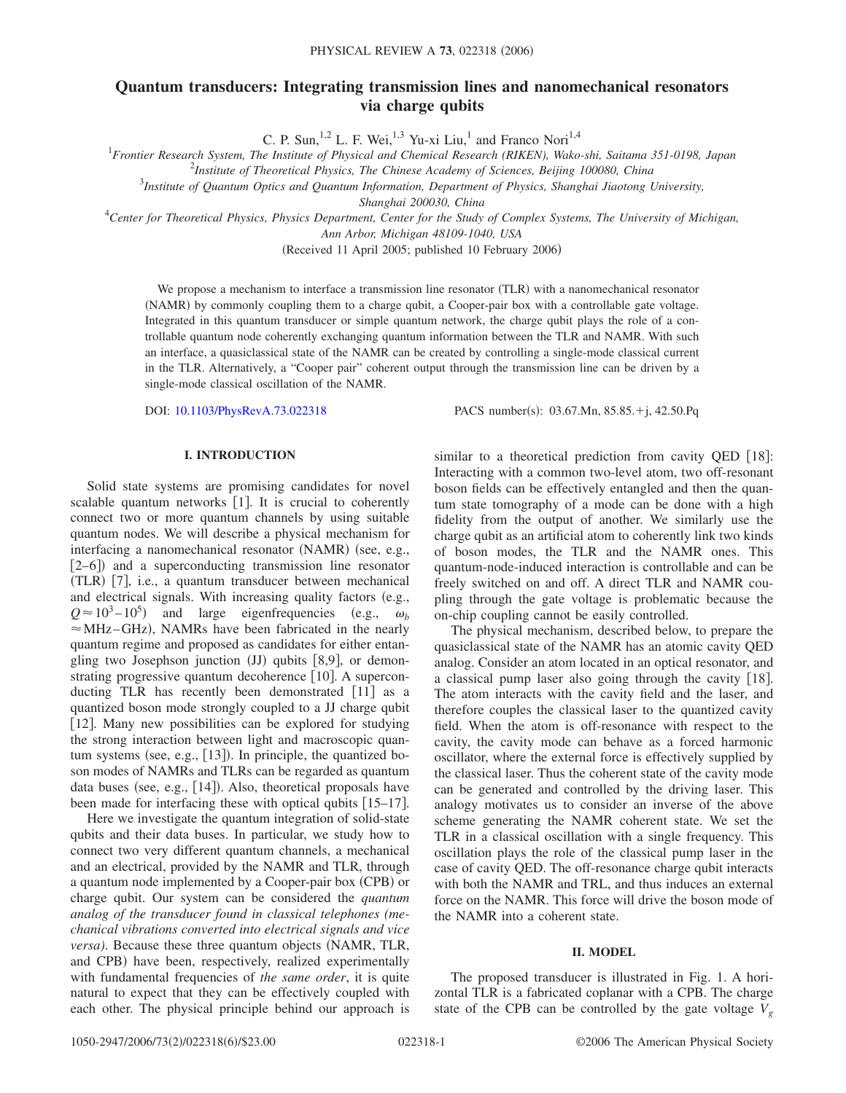# **Quantum transducers: Integrating transmission lines and nanomechanical resonators via charge qubits**

C. P. Sun, <sup>1,2</sup> L. F. Wei, <sup>1,3</sup> Yu-xi Liu,<sup>1</sup> and Franco Nori<sup>1,4</sup>

1 *Frontier Research System, The Institute of Physical and Chemical Research (RIKEN), Wako-shi, Saitama 351-0198, Japan* 2 *Institute of Theoretical Physics, The Chinese Academy of Sciences, Beijing 100080, China*

3 *Institute of Quantum Optics and Quantum Information, Department of Physics, Shanghai Jiaotong University,*

*Shanghai 200030, China*

4 *Center for Theoretical Physics, Physics Department, Center for the Study of Complex Systems, The University of Michigan,*

*Ann Arbor, Michigan 48109-1040, USA*

(Received 11 April 2005; published 10 February 2006)

We propose a mechanism to interface a transmission line resonator (TLR) with a nanomechanical resonator (NAMR) by commonly coupling them to a charge qubit, a Cooper-pair box with a controllable gate voltage. Integrated in this quantum transducer or simple quantum network, the charge qubit plays the role of a controllable quantum node coherently exchanging quantum information between the TLR and NAMR. With such an interface, a quasiclassical state of the NAMR can be created by controlling a single-mode classical current in the TLR. Alternatively, a "Cooper pair" coherent output through the transmission line can be driven by a single-mode classical oscillation of the NAMR.

DOI: [10.1103/PhysRevA.73.022318](http://dx.doi.org/10.1103/PhysRevA.73.022318)

PACS number(s):  $03.67$ .Mn,  $85.85.+$  j,  $42.50$ .Pq

### **I. INTRODUCTION**

Solid state systems are promising candidates for novel scalable quantum networks  $\lceil 1 \rceil$ . It is crucial to coherently connect two or more quantum channels by using suitable quantum nodes. We will describe a physical mechanism for interfacing a nanomechanical resonator (NAMR) (see, e.g., [2-6]) and a superconducting transmission line resonator (TLR) [7], i.e., a quantum transducer between mechanical and electrical signals. With increasing quality factors (e.g.,  $Q \approx 10^3 - 10^5$ ) and large eigenfrequencies (e.g.,  $\omega_b$  $\approx$  MHz–GHz), NAMRs have been fabricated in the nearly quantum regime and proposed as candidates for either entangling two Josephson junction  $(JJ)$  qubits  $[8,9]$ , or demonstrating progressive quantum decoherence [10]. A superconducting TLR has recently been demonstrated  $[11]$  as a quantized boson mode strongly coupled to a JJ charge qubit [12]. Many new possibilities can be explored for studying the strong interaction between light and macroscopic quantum systems (see, e.g., [13]). In principle, the quantized boson modes of NAMRs and TLRs can be regarded as quantum data buses (see, e.g., [14]). Also, theoretical proposals have been made for interfacing these with optical qubits  $[15-17]$ .

Here we investigate the quantum integration of solid-state qubits and their data buses. In particular, we study how to connect two very different quantum channels, a mechanical and an electrical, provided by the NAMR and TLR, through a quantum node implemented by a Cooper-pair box (CPB) or charge qubit. Our system can be considered the *quantum analog of the transducer found in classical telephones (mechanical vibrations converted into electrical signals and vice versa*). Because these three quantum objects (NAMR, TLR, and CPB) have been, respectively, realized experimentally with fundamental frequencies of *the same order*, it is quite natural to expect that they can be effectively coupled with each other. The physical principle behind our approach is

similar to a theoretical prediction from cavity QED  $\lceil 18 \rceil$ : Interacting with a common two-level atom, two off-resonant boson fields can be effectively entangled and then the quantum state tomography of a mode can be done with a high fidelity from the output of another. We similarly use the charge qubit as an artificial atom to coherently link two kinds of boson modes, the TLR and the NAMR ones. This quantum-node-induced interaction is controllable and can be freely switched on and off. A direct TLR and NAMR coupling through the gate voltage is problematic because the on-chip coupling cannot be easily controlled.

The physical mechanism, described below, to prepare the quasiclassical state of the NAMR has an atomic cavity QED analog. Consider an atom located in an optical resonator, and a classical pump laser also going through the cavity [18]. The atom interacts with the cavity field and the laser, and therefore couples the classical laser to the quantized cavity field. When the atom is off-resonance with respect to the cavity, the cavity mode can behave as a forced harmonic oscillator, where the external force is effectively supplied by the classical laser. Thus the coherent state of the cavity mode can be generated and controlled by the driving laser. This analogy motivates us to consider an inverse of the above scheme generating the NAMR coherent state. We set the TLR in a classical oscillation with a single frequency. This oscillation plays the role of the classical pump laser in the case of cavity QED. The off-resonance charge qubit interacts with both the NAMR and TRL, and thus induces an external force on the NAMR. This force will drive the boson mode of the NAMR into a coherent state.

#### **II. MODEL**

The proposed transducer is illustrated in Fig. 1. A horizontal TLR is a fabricated coplanar with a CPB. The charge state of the CPB can be controlled by the gate voltage  $V<sub>o</sub>$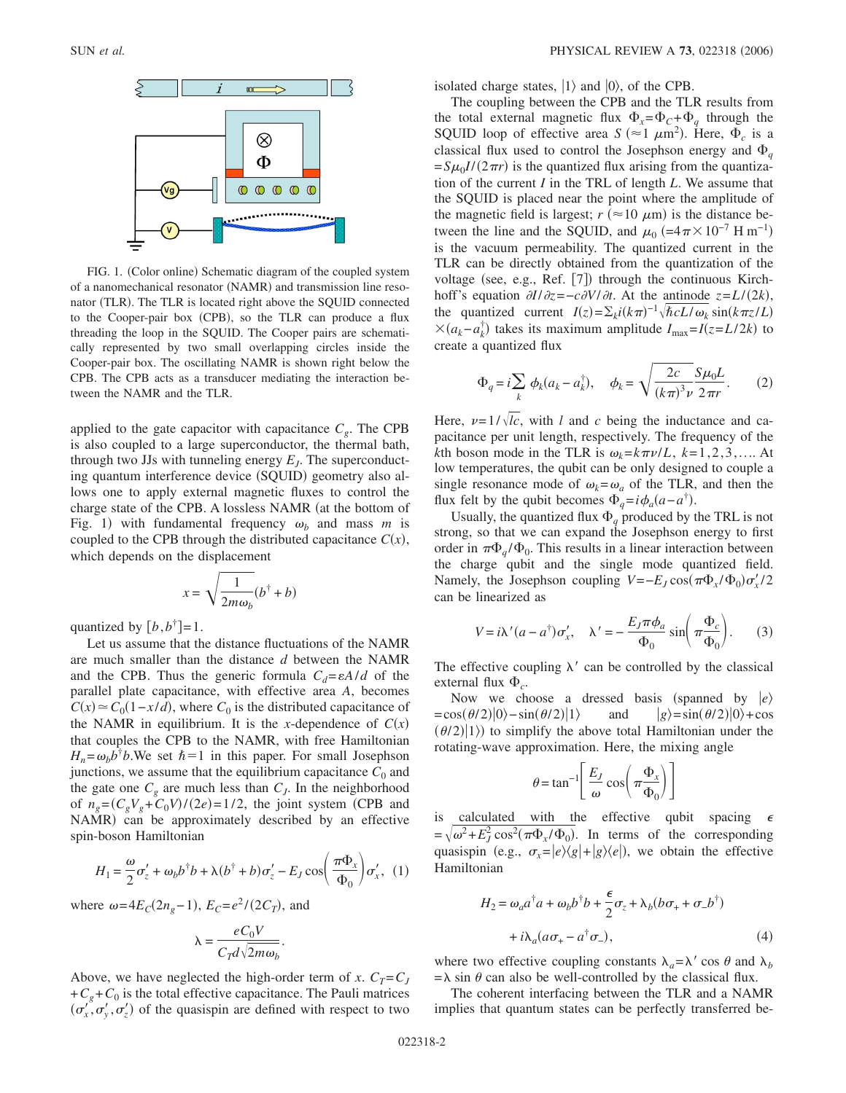

FIG. 1. (Color online) Schematic diagram of the coupled system of a nanomechanical resonator (NAMR) and transmission line resonator (TLR). The TLR is located right above the SQUID connected to the Cooper-pair box (CPB), so the TLR can produce a flux threading the loop in the SQUID. The Cooper pairs are schematically represented by two small overlapping circles inside the Cooper-pair box. The oscillating NAMR is shown right below the CPB. The CPB acts as a transducer mediating the interaction between the NAMR and the TLR.

applied to the gate capacitor with capacitance  $C_g$ . The CPB is also coupled to a large superconductor, the thermal bath, through two JJs with tunneling energy  $E_J$ . The superconducting quantum interference device (SQUID) geometry also allows one to apply external magnetic fluxes to control the charge state of the CPB. A lossless NAMR (at the bottom of Fig. 1) with fundamental frequency  $\omega_b$  and mass *m* is coupled to the CPB through the distributed capacitance  $C(x)$ , which depends on the displacement

$$
x = \sqrt{\frac{1}{2m\omega_b}}(b^{\dagger} + b)
$$

quantized by  $[b, b^{\dagger}] = 1$ .

Let us assume that the distance fluctuations of the NAMR are much smaller than the distance *d* between the NAMR and the CPB. Thus the generic formula  $C_d = \varepsilon A/d$  of the parallel plate capacitance, with effective area *A*, becomes  $C(x) \approx C_0(1 - x/d)$ , where  $C_0$  is the distributed capacitance of the NAMR in equilibrium. It is the *x*-dependence of  $C(x)$ that couples the CPB to the NAMR, with free Hamiltonian  $H_n = \omega_b b^{\dagger} b$ . We set  $\hbar = 1$  in this paper. For small Josephson junctions, we assume that the equilibrium capacitance  $C_0$  and the gate one  $C_g$  are much less than  $C_J$ . In the neighborhood of  $n_g = (C_g V_g + C_0 V)/(2e) = 1/2$ , the joint system (CPB and NAMR) can be approximately described by an effective spin-boson Hamiltonian

$$
H_1 = \frac{\omega}{2}\sigma_z' + \omega_b b^{\dagger} b + \lambda (b^{\dagger} + b)\sigma_z' - E_J \cos\left(\frac{\pi \Phi_x}{\Phi_0}\right) \sigma_x', \tag{1}
$$

where  $ω=4E_C(2n_g-1)$ ,  $E_C=e^2/(2C_T)$ , and

$$
\lambda = \frac{eC_0V}{C_Td\sqrt{2m\omega_b}}.
$$

Above, we have neglected the high-order term of *x*.  $C_T = C_J$  $+C_g+C_0$  is the total effective capacitance. The Pauli matrices  $(\sigma_x^r, \sigma_y^r, \sigma_z^r)$  of the quasispin are defined with respect to two

isolated charge states,  $|1\rangle$  and  $|0\rangle$ , of the CPB.

The coupling between the CPB and the TLR results from the total external magnetic flux  $\Phi_x = \Phi_C + \Phi_a$  through the SQUID loop of effective area  $S \approx 1 \ \mu \text{m}^2$ ). Here,  $\Phi_c$  is a classical flux used to control the Josephson energy and  $\Phi_a$  $= S\mu_0 I/(2\pi r)$  is the quantized flux arising from the quantization of the current *I* in the TRL of length *L*. We assume that the SQUID is placed near the point where the amplitude of the magnetic field is largest;  $r \approx 10 \mu m$ ) is the distance between the line and the SQUID, and  $\mu_0$  (=4 $\pi \times 10^{-7}$  H m<sup>-1</sup>) is the vacuum permeability. The quantized current in the TLR can be directly obtained from the quantization of the voltage (see, e.g., Ref. [7]) through the continuous Kirchhoff's equation  $\partial I/\partial z = -c \partial V/\partial t$ . At the antinode  $z = L/(2k)$ , the quantized current  $I(z) = \sum_{k} i(k\pi)^{-1} \sqrt{\hbar c L/\omega_k} \sin(k\pi z/L)$  $\times (a_k - a_k^{\dagger})$  takes its maximum amplitude *I*<sub>max</sub>=*I*(*z*=*L*/2*k*) to create a quantized flux

$$
\Phi_q = i \sum_k \phi_k (a_k - a_k^{\dagger}), \quad \phi_k = \sqrt{\frac{2c}{(k\pi)^3 \nu}} \frac{S\mu_0 L}{2\pi r}.
$$
 (2)

Here,  $\nu = 1/\sqrt{l_c}$ , with *l* and *c* being the inductance and capacitance per unit length, respectively. The frequency of the *k*th boson mode in the TLR is  $\omega_k = k \pi \nu / L$ ,  $k = 1, 2, 3, \dots$ . At low temperatures, the qubit can be only designed to couple a single resonance mode of  $\omega_k = \omega_a$  of the TLR, and then the flux felt by the qubit becomes  $\Phi_q = i \phi_a (a - a^{\dagger})$ .

Usually, the quantized flux  $\Phi_q$  produced by the TRL is not strong, so that we can expand the Josephson energy to first order in  $\pi \Phi_a / \Phi_0$ . This results in a linear interaction between the charge qubit and the single mode quantized field. Namely, the Josephson coupling  $V=-E_J \cos(\pi \Phi_x/\Phi_0) \sigma'_x/2$ can be linearized as

$$
V = i\lambda'(a - a^{\dagger})\sigma_x', \quad \lambda' = -\frac{E_J \pi \phi_a}{\Phi_0} \sin\left(\pi \frac{\Phi_c}{\Phi_0}\right). \tag{3}
$$

The effective coupling  $\lambda'$  can be controlled by the classical external flux  $\Phi_c$ .

Now we choose a dressed basis (spanned by  $|e\rangle$  $= cos(\theta/2)|0\rangle - sin(\theta/2)|$ and  $g\rangle = \sin(\theta/2)|0\rangle + \cos \theta$  $(\theta/2)|1\rangle$  to simplify the above total Hamiltonian under the rotating-wave approximation. Here, the mixing angle

$$
\theta = \tan^{-1} \left[ \frac{E_J}{\omega} \cos \left( \pi \frac{\Phi_x}{\Phi_0} \right) \right]
$$

is calculated with the effective qubit spacing  $\epsilon$  $=\sqrt{\omega^2+E_J^2}\cos^2(\pi\Phi_x/\Phi_0)$ . In terms of the corresponding quasispin (e.g.,  $\sigma_x = |e\rangle\langle g| + |g\rangle\langle e|$ ), we obtain the effective Hamiltonian

$$
H_2 = \omega_a a^{\dagger} a + \omega_b b^{\dagger} b + \frac{\epsilon}{2} \sigma_z + \lambda_b (b \sigma_+ + \sigma_- b^{\dagger})
$$
  
+  $i \lambda_a (a \sigma_+ - a^{\dagger} \sigma_-),$  (4)

where two effective coupling constants  $\lambda_a = \lambda' \cos \theta$  and  $\lambda_b$  $=\lambda \sin \theta$  can also be well-controlled by the classical flux.

The coherent interfacing between the TLR and a NAMR implies that quantum states can be perfectly transferred be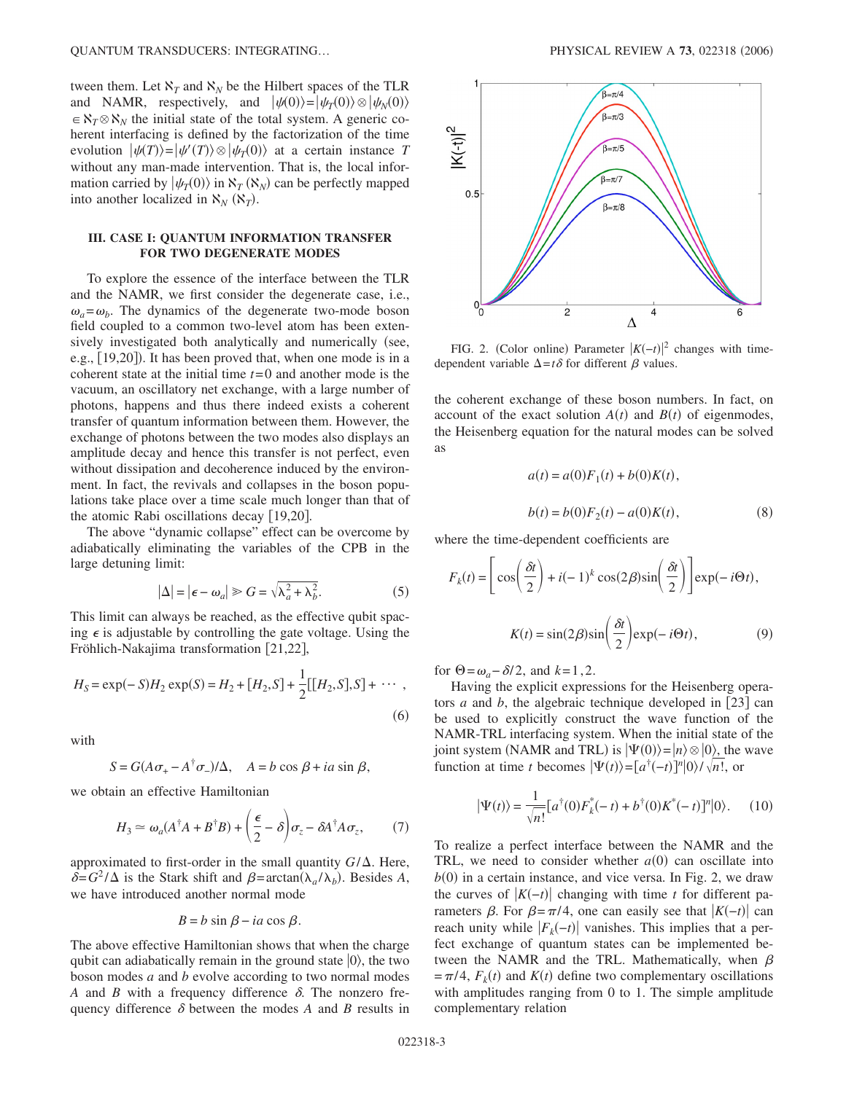tween them. Let  $\aleph_T$  and  $\aleph_N$  be the Hilbert spaces of the TLR and NAMR, respectively, and  $|\psi(0)\rangle = |\psi_T(0)\rangle \otimes |\psi_N(0)\rangle$  $\in$   $\aleph_T \otimes \aleph_N$  the initial state of the total system. A generic coherent interfacing is defined by the factorization of the time evolution  $|\psi(T)\rangle = |\psi'(T)\rangle \otimes |\psi_T(0)\rangle$  at a certain instance *T* without any man-made intervention. That is, the local information carried by  $|\psi_T(0)\rangle$  in  $\aleph_T(\aleph_N)$  can be perfectly mapped into another localized in  $\aleph_N(\aleph_T)$ .

### **III. CASE I: QUANTUM INFORMATION TRANSFER FOR TWO DEGENERATE MODES**

To explore the essence of the interface between the TLR and the NAMR, we first consider the degenerate case, i.e.,  $\omega_a = \omega_b$ . The dynamics of the degenerate two-mode boson field coupled to a common two-level atom has been extensively investigated both analytically and numerically (see, e.g., [19,20]). It has been proved that, when one mode is in a coherent state at the initial time *t*=0 and another mode is the vacuum, an oscillatory net exchange, with a large number of photons, happens and thus there indeed exists a coherent transfer of quantum information between them. However, the exchange of photons between the two modes also displays an amplitude decay and hence this transfer is not perfect, even without dissipation and decoherence induced by the environment. In fact, the revivals and collapses in the boson populations take place over a time scale much longer than that of the atomic Rabi oscillations decay  $[19,20]$ .

The above "dynamic collapse" effect can be overcome by adiabatically eliminating the variables of the CPB in the large detuning limit:

$$
|\Delta| = |\epsilon - \omega_a| \gg G = \sqrt{\lambda_a^2 + \lambda_b^2}.
$$
 (5)

This limit can always be reached, as the effective qubit spacing  $\epsilon$  is adjustable by controlling the gate voltage. Using the Fröhlich-Nakajima transformation  $[21,22]$ ,

$$
H_S = \exp(-S)H_2 \exp(S) = H_2 + [H_2, S] + \frac{1}{2}[[H_2, S], S] + \cdots,
$$
\n(6)

with

$$
S = G(A\sigma_{+} - A^{\dagger}\sigma_{-})/\Delta, \quad A = b\cos\beta + ia\sin\beta,
$$

we obtain an effective Hamiltonian

$$
H_3 \simeq \omega_a (A^{\dagger} A + B^{\dagger} B) + \left(\frac{\epsilon}{2} - \delta\right) \sigma_z - \delta A^{\dagger} A \sigma_z, \tag{7}
$$

approximated to first-order in the small quantity  $G/\Delta$ . Here,  $\delta = G^2 / \Delta$  is the Stark shift and  $\beta = \arctan(\lambda_a / \lambda_b)$ . Besides *A*, we have introduced another normal mode

$$
B = b \sin \beta - ia \cos \beta.
$$

The above effective Hamiltonian shows that when the charge qubit can adiabatically remain in the ground state  $|0\rangle$ , the two boson modes *a* and *b* evolve according to two normal modes *A* and *B* with a frequency difference  $\delta$ . The nonzero frequency difference  $\delta$  between the modes A and B results in



FIG. 2. (Color online) Parameter  $|K(-t)|^2$  changes with timedependent variable  $\Delta = t\delta$  for different  $\beta$  values.

the coherent exchange of these boson numbers. In fact, on account of the exact solution  $A(t)$  and  $B(t)$  of eigenmodes, the Heisenberg equation for the natural modes can be solved as

$$
a(t) = a(0)F_1(t) + b(0)K(t),
$$
  
\n
$$
b(t) = b(0)F_2(t) - a(0)K(t),
$$
\n(8)

where the time-dependent coefficients are

$$
F_k(t) = \left[\cos\left(\frac{\delta t}{2}\right) + i(-1)^k \cos(2\beta)\sin\left(\frac{\delta t}{2}\right)\right] \exp(-i\Theta t),
$$

$$
K(t) = \sin(2\beta)\sin\left(\frac{\delta t}{2}\right) \exp(-i\Theta t),
$$
(9)

for  $\Theta = \omega_a - \delta/2$ , and  $k = 1, 2$ .

Having the explicit expressions for the Heisenberg operators *a* and *b*, the algebraic technique developed in [23] can be used to explicitly construct the wave function of the NAMR-TRL interfacing system. When the initial state of the joint system (NAMR and TRL) is  $|\Psi(0)\rangle = |n\rangle \otimes |0\rangle$ , the wave function at time *t* becomes  $|\Psi(t)\rangle = [a^{\dagger}(-t)]^n |0\rangle / \sqrt{n!}$ , or

$$
|\Psi(t)\rangle = \frac{1}{\sqrt{n!}} [a^{\dagger}(0)F_k^*(-t) + b^{\dagger}(0)K^*(-t)]^n |0\rangle.
$$
 (10)

To realize a perfect interface between the NAMR and the TRL, we need to consider whether  $a(0)$  can oscillate into  $b(0)$  in a certain instance, and vice versa. In Fig. 2, we draw the curves of  $|K(-t)|$  changing with time *t* for different parameters  $\beta$ . For  $\beta = \frac{\pi}{4}$ , one can easily see that  $|K(-t)|$  can reach unity while  $|F_k(-t)|$  vanishes. This implies that a perfect exchange of quantum states can be implemented between the NAMR and the TRL. Mathematically, when  $\beta$  $=\pi/4$ ,  $F_k(t)$  and  $K(t)$  define two complementary oscillations with amplitudes ranging from 0 to 1. The simple amplitude complementary relation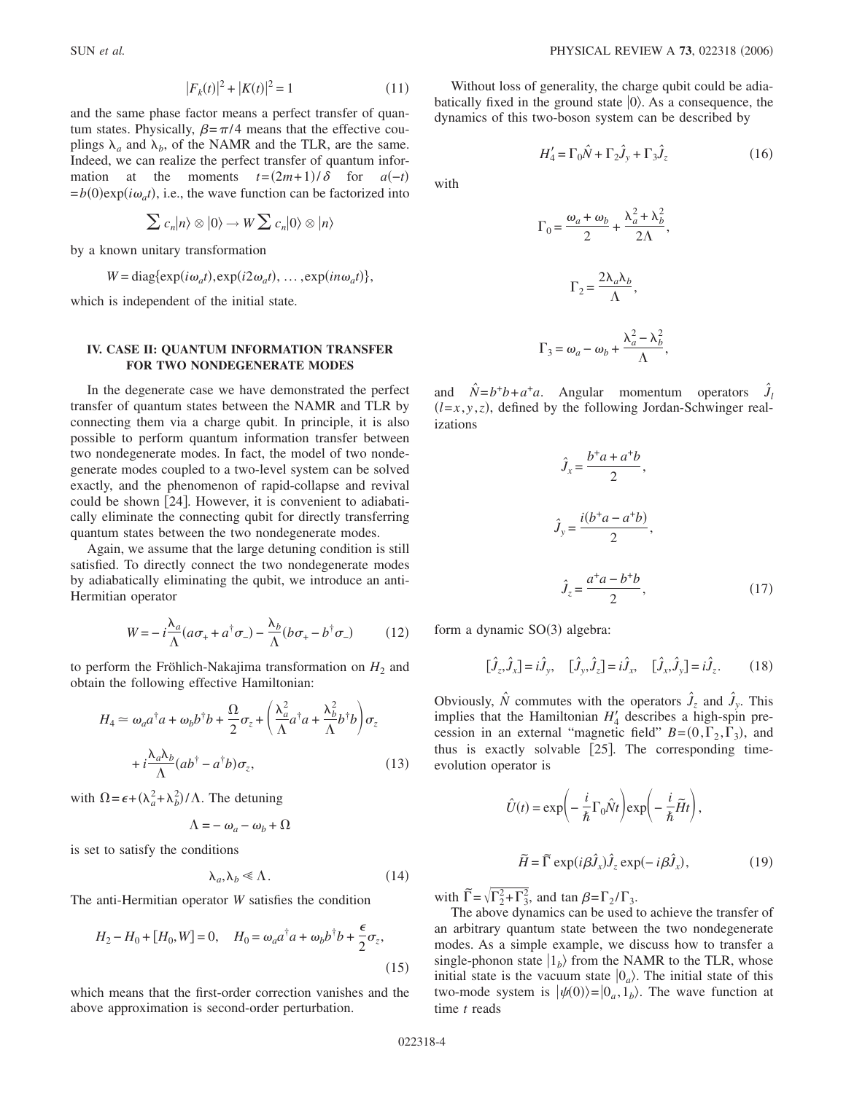$$
|F_k(t)|^2 + |K(t)|^2 = 1
$$
\n(11)

and the same phase factor means a perfect transfer of quantum states. Physically,  $\beta = \frac{\pi}{4}$  means that the effective couplings  $\lambda_a$  and  $\lambda_b$ , of the NAMR and the TLR, are the same. Indeed, we can realize the perfect transfer of quantum information at the moments  $t = (2m+1)/\delta$  for  $a(-t)$  $= b(0) \exp(i\omega_a t)$ , i.e., the wave function can be factorized into

$$
\sum c_n |n\rangle \otimes |0\rangle \to W \sum c_n |0\rangle \otimes |n\rangle
$$

by a known unitary transformation

 $W = \text{diag}\{\exp(i\omega_a t), \exp(i2\omega_a t), \dots, \exp(in\omega_a t)\},$ 

which is independent of the initial state.

#### **IV. CASE II: QUANTUM INFORMATION TRANSFER FOR TWO NONDEGENERATE MODES**

In the degenerate case we have demonstrated the perfect transfer of quantum states between the NAMR and TLR by connecting them via a charge qubit. In principle, it is also possible to perform quantum information transfer between two nondegenerate modes. In fact, the model of two nondegenerate modes coupled to a two-level system can be solved exactly, and the phenomenon of rapid-collapse and revival could be shown [24]. However, it is convenient to adiabatically eliminate the connecting qubit for directly transferring quantum states between the two nondegenerate modes.

Again, we assume that the large detuning condition is still satisfied. To directly connect the two nondegenerate modes by adiabatically eliminating the qubit, we introduce an anti-Hermitian operator

$$
W = -i\frac{\lambda_a}{\Lambda}(a\sigma_+ + a^\dagger \sigma_-) - \frac{\lambda_b}{\Lambda}(b\sigma_+ - b^\dagger \sigma_-)
$$
 (12)

to perform the Fröhlich-Nakajima transformation on  $H_2$  and obtain the following effective Hamiltonian:

$$
H_4 \simeq \omega_a a^\dagger a + \omega_b b^\dagger b + \frac{\Omega}{2} \sigma_z + \left(\frac{\lambda_a^2}{\Lambda} a^\dagger a + \frac{\lambda_b^2}{\Lambda} b^\dagger b\right) \sigma_z
$$
  
+  $i \frac{\lambda_a \lambda_b}{\Lambda} (a b^\dagger - a^\dagger b) \sigma_z,$  (13)

with  $\Omega = \epsilon + (\lambda_a^2 + \lambda_b^2)/\Lambda$ . The detuning

$$
\Lambda = -\omega_a - \omega_b + \Omega
$$

is set to satisfy the conditions

$$
\lambda_a, \lambda_b \ll \Lambda. \tag{14}
$$

The anti-Hermitian operator *W* satisfies the condition

$$
H_2 - H_0 + [H_0, W] = 0, \quad H_0 = \omega_a a^{\dagger} a + \omega_b b^{\dagger} b + \frac{\epsilon}{2} \sigma_z,
$$
\n(15)

which means that the first-order correction vanishes and the above approximation is second-order perturbation.

Without loss of generality, the charge qubit could be adiabatically fixed in the ground state  $|0\rangle$ . As a consequence, the dynamics of this two-boson system can be described by

$$
H_4' = \Gamma_0 \hat{N} + \Gamma_2 \hat{J}_y + \Gamma_3 \hat{J}_z \tag{16}
$$

with

$$
\Gamma_0 = \frac{\omega_a + \omega_b}{2} + \frac{\lambda_a^2 + \lambda_b^2}{2\Lambda},
$$

$$
\Gamma_2 = \frac{2\lambda_a \lambda_b}{\Lambda},
$$

$$
\Gamma_3 = \omega_a - \omega_b + \frac{\lambda_a^2 - \lambda_b^2}{\Lambda},
$$

and  $\hat{N}=b^{+}b+a^{+}a$ . Angular momentum operators  $\hat{J}_l$  $(l=x, y, z)$ , defined by the following Jordan-Schwinger realizations

$$
\hat{J}_x = \frac{b^+a + a^+b}{2},
$$
\n
$$
\hat{J}_y = \frac{i(b^+a - a^+b)}{2},
$$
\n
$$
\hat{J}_z = \frac{a^+a - b^+b}{2},
$$
\n(17)

form a dynamic SO(3) algebra:

$$
[\hat{J}_z, \hat{J}_x] = i\hat{J}_y, \quad [\hat{J}_y, \hat{J}_z] = i\hat{J}_x, \quad [\hat{J}_x, \hat{J}_y] = i\hat{J}_z. \tag{18}
$$

Obviously,  $\hat{N}$  commutes with the operators  $\hat{J}_z$  and  $\hat{J}_y$ . This implies that the Hamiltonian  $H_4'$  describes a high-spin precession in an external "magnetic field"  $B=(0, \Gamma_2, \Gamma_3)$ , and thus is exactly solvable  $[25]$ . The corresponding timeevolution operator is

$$
\hat{U}(t) = \exp\left(-\frac{i}{\hbar}\Gamma_0\hat{N}t\right)\exp\left(-\frac{i}{\hbar}\tilde{H}t\right),
$$
  

$$
\tilde{H} = \tilde{\Gamma}\exp(i\beta\hat{J}_x)\hat{J}_z\exp(-i\beta\hat{J}_x),
$$
 (19)

with  $\widetilde{\Gamma} = \sqrt{\Gamma_2^2 + \Gamma_3^2}$ , and tan  $\beta = \Gamma_2 / \Gamma_3$ .

The above dynamics can be used to achieve the transfer of an arbitrary quantum state between the two nondegenerate modes. As a simple example, we discuss how to transfer a single-phonon state  $|1_b\rangle$  from the NAMR to the TLR, whose initial state is the vacuum state  $|0_a\rangle$ . The initial state of this two-mode system is  $|\psi(0)\rangle = |0_a, 1_b\rangle$ . The wave function at time *t* reads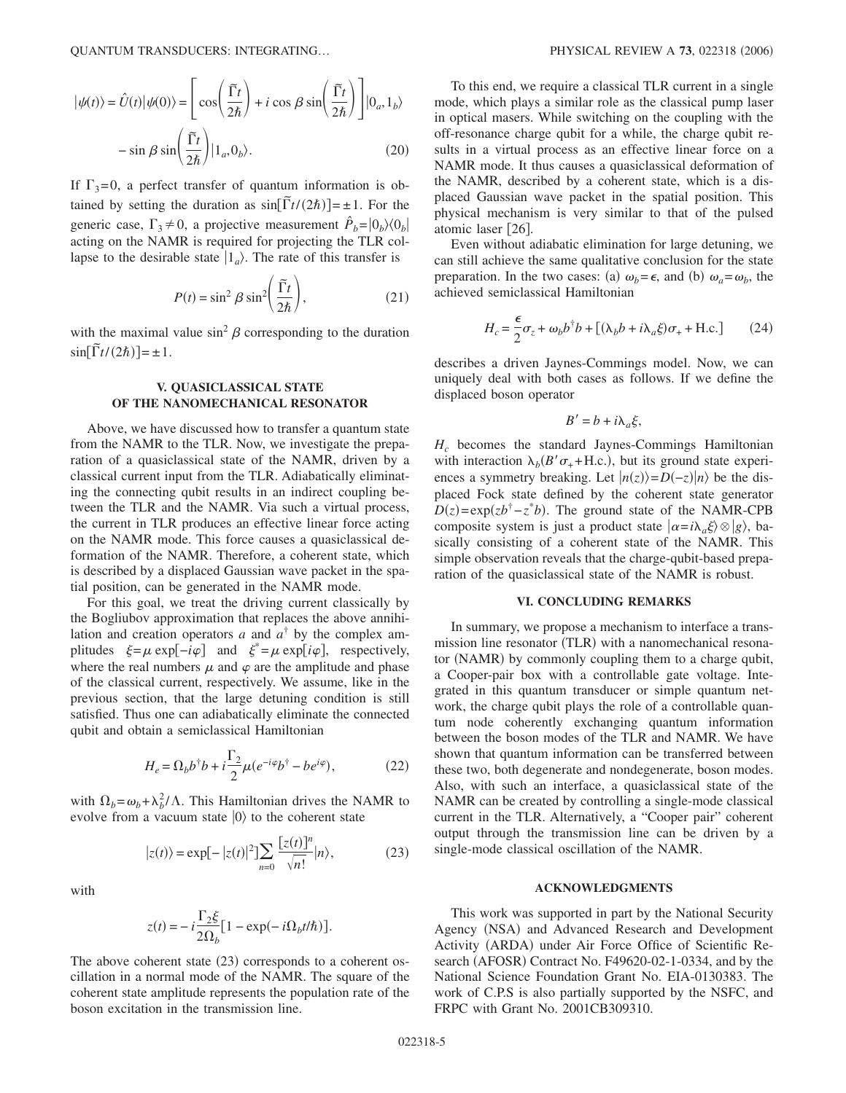$$
|\psi(t)\rangle = \hat{U}(t)|\psi(0)\rangle = \left[\cos\left(\frac{\tilde{\Gamma}t}{2\hbar}\right) + i\cos\beta\sin\left(\frac{\tilde{\Gamma}t}{2\hbar}\right)\right]|0_a,1_b\rangle
$$

$$
-\sin\beta\sin\left(\frac{\tilde{\Gamma}t}{2\hbar}\right)|1_a,0_b\rangle.
$$
(20)

If  $\Gamma_3=0$ , a perfect transfer of quantum information is obtained by setting the duration as  $\sin[\tilde{\Gamma}t/(2\hbar)] = \pm 1$ . For the generic case,  $\Gamma_3 \neq 0$ , a projective measurement  $\hat{P}_b = |0_b\rangle\langle0_b|$ acting on the NAMR is required for projecting the TLR collapse to the desirable state  $|1_a\rangle$ . The rate of this transfer is

$$
P(t) = \sin^2 \beta \sin^2 \left(\frac{\tilde{\Gamma}t}{2\hbar}\right),\tag{21}
$$

with the maximal value  $\sin^2 \beta$  corresponding to the duration  $\sin[\tilde{\Gamma}t/(2\hbar)] = \pm 1.$ 

## **V. QUASICLASSICAL STATE OF THE NANOMECHANICAL RESONATOR**

Above, we have discussed how to transfer a quantum state from the NAMR to the TLR. Now, we investigate the preparation of a quasiclassical state of the NAMR, driven by a classical current input from the TLR. Adiabatically eliminating the connecting qubit results in an indirect coupling between the TLR and the NAMR. Via such a virtual process, the current in TLR produces an effective linear force acting on the NAMR mode. This force causes a quasiclassical deformation of the NAMR. Therefore, a coherent state, which is described by a displaced Gaussian wave packet in the spatial position, can be generated in the NAMR mode.

For this goal, we treat the driving current classically by the Bogliubov approximation that replaces the above annihilation and creation operators  $a$  and  $a^{\dagger}$  by the complex amplitudes  $\xi = \mu \exp[-i\varphi]$  and  $\xi^* = \mu \exp[i\varphi]$ , respectively, where the real numbers  $\mu$  and  $\varphi$  are the amplitude and phase of the classical current, respectively. We assume, like in the previous section, that the large detuning condition is still satisfied. Thus one can adiabatically eliminate the connected qubit and obtain a semiclassical Hamiltonian

$$
H_e = \Omega_b b^{\dagger} b + i \frac{\Gamma_2}{2} \mu (e^{-i\varphi} b^{\dagger} - b e^{i\varphi}), \qquad (22)
$$

with  $\Omega_b = \omega_b + \lambda_b^2 / \Lambda$ . This Hamiltonian drives the NAMR to evolve from a vacuum state  $|0\rangle$  to the coherent state

$$
|z(t)\rangle = \exp[-|z(t)|^2] \sum_{n=0} \frac{[z(t)]^n}{\sqrt{n!}} |n\rangle,
$$
 (23)

with

$$
z(t) = -i\frac{\Gamma_2 \xi}{2\Omega_b} [1 - \exp(-i\Omega_b t/\hbar)].
$$

The above coherent state (23) corresponds to a coherent oscillation in a normal mode of the NAMR. The square of the coherent state amplitude represents the population rate of the boson excitation in the transmission line.

To this end, we require a classical TLR current in a single mode, which plays a similar role as the classical pump laser in optical masers. While switching on the coupling with the off-resonance charge qubit for a while, the charge qubit results in a virtual process as an effective linear force on a NAMR mode. It thus causes a quasiclassical deformation of the NAMR, described by a coherent state, which is a displaced Gaussian wave packet in the spatial position. This physical mechanism is very similar to that of the pulsed atomic laser  $[26]$ .

Even without adiabatic elimination for large detuning, we can still achieve the same qualitative conclusion for the state preparation. In the two cases: (a)  $\omega_b = \epsilon$ , and (b)  $\omega_a = \omega_b$ , the achieved semiclassical Hamiltonian

$$
H_c = \frac{\epsilon}{2}\sigma_z + \omega_b b^{\dagger} b + [(\lambda_b b + i\lambda_a \xi)\sigma_+ + \text{H.c.}] \tag{24}
$$

describes a driven Jaynes-Commings model. Now, we can uniquely deal with both cases as follows. If we define the displaced boson operator

$$
B'=b+i\lambda_a\xi,
$$

*Hc* becomes the standard Jaynes-Commings Hamiltonian with interaction  $\lambda_b(B'\sigma_+ + \text{H.c.})$ , but its ground state experiences a symmetry breaking. Let  $|n(z)\rangle = D(-z)|n\rangle$  be the displaced Fock state defined by the coherent state generator  $D(z) = \exp(zb^{\dagger} - z^*b)$ . The ground state of the NAMR-CPB composite system is just a product state  $|\alpha = i\lambda_a \xi \rangle \otimes |g\rangle$ , basically consisting of a coherent state of the NAMR. This simple observation reveals that the charge-qubit-based preparation of the quasiclassical state of the NAMR is robust.

#### **VI. CONCLUDING REMARKS**

In summary, we propose a mechanism to interface a transmission line resonator (TLR) with a nanomechanical resonator (NAMR) by commonly coupling them to a charge qubit, a Cooper-pair box with a controllable gate voltage. Integrated in this quantum transducer or simple quantum network, the charge qubit plays the role of a controllable quantum node coherently exchanging quantum information between the boson modes of the TLR and NAMR. We have shown that quantum information can be transferred between these two, both degenerate and nondegenerate, boson modes. Also, with such an interface, a quasiclassical state of the NAMR can be created by controlling a single-mode classical current in the TLR. Alternatively, a "Cooper pair" coherent output through the transmission line can be driven by a single-mode classical oscillation of the NAMR.

#### **ACKNOWLEDGMENTS**

This work was supported in part by the National Security Agency (NSA) and Advanced Research and Development Activity (ARDA) under Air Force Office of Scientific Research (AFOSR) Contract No. F49620-02-1-0334, and by the National Science Foundation Grant No. EIA-0130383. The work of C.P.S is also partially supported by the NSFC, and FRPC with Grant No. 2001CB309310.